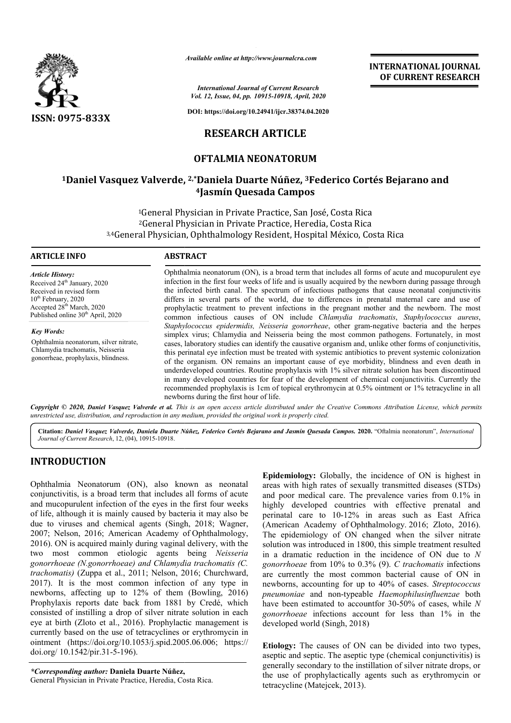

*Available online at http://www.journalcra.com*

*International Journal of Current Research Vol. 12, Issue, 04, pp. 10915-10918, April, 2020*

**DOI: https://doi.org/10.24941/ijcr.38374.04.2020**

## **RESEARCH ARTICLE**

### **OFTALMIA NEONATORUM**

## **1Daniel Vasquez Valverde, 2,\*Daniela Duarte Núñez, 3Federico Cortés Bejarano and 4Jasmín Quesada Campos**

<sup>1</sup>General Physician in Private Practice, San José, Costa Rica <sup>2</sup>General Physician in Private Practice, Heredia, Costa Rica 3,4General Physician, Ophthalmology Resident, Hospital México, Costa Rica

| <b>ARTICLE INFO</b>                                                                                                                                                                                               | <b>ABSTRACT</b>                                                                                                                                                                                                                                                                                                                                                                                                                                                                                                                                                                                                                                                                                                                                                                                                                                                                                                                                                                                                                                                                                                                                                                                                                                                                                                                                                                                                                                                                                  |
|-------------------------------------------------------------------------------------------------------------------------------------------------------------------------------------------------------------------|--------------------------------------------------------------------------------------------------------------------------------------------------------------------------------------------------------------------------------------------------------------------------------------------------------------------------------------------------------------------------------------------------------------------------------------------------------------------------------------------------------------------------------------------------------------------------------------------------------------------------------------------------------------------------------------------------------------------------------------------------------------------------------------------------------------------------------------------------------------------------------------------------------------------------------------------------------------------------------------------------------------------------------------------------------------------------------------------------------------------------------------------------------------------------------------------------------------------------------------------------------------------------------------------------------------------------------------------------------------------------------------------------------------------------------------------------------------------------------------------------|
| <b>Article History:</b><br>Received 24 <sup>th</sup> January, 2020<br>Received in revised form<br>$10th$ February, 2020<br>Accepted 28 <sup>th</sup> March, 2020<br>Published online 30 <sup>th</sup> April, 2020 | Ophthalmia neonatorum (ON), is a broad term that includes all forms of acute and mucopurulent eye<br>infection in the first four weeks of life and is usually acquired by the newborn during passage through<br>the infected birth canal. The spectrum of infectious pathogens that cause neonatal conjunctivitis<br>differs in several parts of the world, due to differences in prenatal maternal care and use of<br>prophylactic treatment to prevent infections in the pregnant mother and the newborn. The most<br>common infectious causes of ON include Chlamydia trachomatis, Staphylococcus aureus,<br>Staphylococcus epidermidis, Neisseria gonorrheae, other gram-negative bacteria and the herpes<br>simplex virus; Chlamydia and Neisseria being the most common pathogens. Fortunately, in most<br>cases, laboratory studies can identify the causative organism and, unlike other forms of conjunctivitis,<br>this perinatal eye infection must be treated with systemic antibiotics to prevent systemic colonization<br>of the organism. ON remains an important cause of eye morbidity, blindness and even death in<br>underdeveloped countries. Routine prophylaxis with 1% silver nitrate solution has been discontinued<br>in many developed countries for fear of the development of chemical conjunctivitis. Currently the<br>recommended prophylaxis is 1cm of topical erythromycin at 0.5% ointment or 1% tetracycline in all<br>newborns during the first hour of life. |
| <b>Key Words:</b><br>Ophthalmia neonatorum, silver nitrate,<br>Chlamydia trachomatis, Neisseria<br>gonorrheae, prophylaxis, blindness.                                                                            |                                                                                                                                                                                                                                                                                                                                                                                                                                                                                                                                                                                                                                                                                                                                                                                                                                                                                                                                                                                                                                                                                                                                                                                                                                                                                                                                                                                                                                                                                                  |

Copyright © 2020, Daniel Vasquez Valverde et al. This is an open access article distributed under the Creative Commons Attribution License, which permits *unrestricted use, distribution, and reproduction in any medium, provided the original work is properly cited.*

Citation: Daniel Vasquez Valverde, Daniela Duarte Núñez, Federico Cortés Bejarano and Jasmín Quesada Campos. 2020. "Oftalmia neonatorum", International *Journal of Current Research*, 12, (04), 10915-10918.

# **INTRODUCTION**

Ophthalmia Neonatorum (ON), also known as neonatal conjunctivitis, is a broad term that includes all forms of acute and mucopurulent infection of the eyes in the first four weeks of life, although it is mainly caused by bacteria it may also be due to viruses and chemical agents (Singh, 2018; Wagner, 2007; Nelson, 2016; American Academy of Ophthalmology, 2016). ON is acquired mainly during vaginal delivery, with the two most common etiologic agents being *Neisseria gonorrhoeae (N.gonorrhoeae) and Chlamydia trachomatis (C.* trachomatis) (Zuppa et al., 2011; Nelson, 2016; Churchward, 2017). It is the most common infection of any type in newborns, affecting up to 12% of them (Bowling, 2016) Prophylaxis reports date back from 1881 by Credé, which consisted of instilling a drop of silver nitrate solution in each eye at birth (Zloto et al., 2016). Prophylactic management is currently based on the use of tetracyclines or erythromycin in ointment (https://doi.org/10.1053/j.spid.2005.06.006 https://doi.org/10.1053/j.spid.2005.06.006; https:// doi.org/ 10.1542/pir.31-5-196).

*\*Corresponding author:* **Daniela Duarte Núñez,** General Physician in Private Practice, Heredia, Costa Rica. **Epidemiology:** Globally, the incidence of ON is highest in areas with high rates of sexually transmitted diseases (STDs) and poor medical care. The prevalence varies from 0.1% in highly developed countries with effective prenatal and perinatal care to 10-12% in areas such as East Africa (American Academy of Ophthalmology. 2016; Zloto, 2016). The epidemiology of ON changed when the silver nitrate solution was introduced in 1800, 1800, this simple treatment resulted in a dramatic reduction in the incidence of ON due to *N gonorrhoeae* from 10% to 0.3% (9). *C trachomatis* infections are currently the most common bacterial cause of ON in newborns, accounting for up to 40% of cases. *Streptococcus pneumoniae* and non-typeable typeable *Haemophilusinfluenzae* both have been estimated to accountfor 30-50% of cases, while *N gonorrhoeae* infections account for less than 1% in the developed world (Singh, 2018) )

**INTERNATIONAL JOURNAL OF CURRENT RESEARCH**

**Etiology:** The causes of ON can be divided into two types, aseptic and septic. The aseptic type (chemical conjunctivitis) is generally secondary to the instillation of silver nitrate drops, or the use of prophylactically agents such as erythromycin or tetracycline (Matejcek, 2013).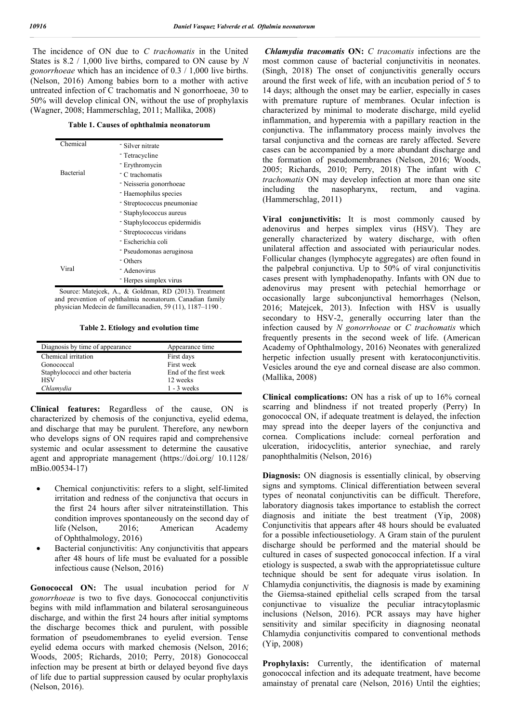The incidence of ON due to *C trachomatis* in the United States is 8.2 / 1,000 live births, compared to ON cause by *N gonorrhoeae* which has an incidence of 0.3 / 1,000 live births. (Nelson, 2016) Among babies born to a mother with active untreated infection of C trachomatis and N gonorrhoeae, 30 to 50% will develop clinical ON, without the use of prophylaxis (Wagner, 2008; Hammerschlag, 2011; Mallika, 2008)

**Table 1. Causes of ophthalmia neonatorum**

| Chemical         | - Silver nitrate                          |
|------------------|-------------------------------------------|
|                  | - Tetracycline                            |
|                  | - Erythromycin                            |
| Bacterial        | <sup>-</sup> C trachomatis                |
|                  | - Neisseria gonorrhoeae                   |
|                  | - Haemophilus species                     |
|                  | - Streptococcus pneumoniae                |
|                  | - Staphylococcus aureus                   |
|                  | - Staphylococcus epidermidis              |
|                  | - Streptococcus viridans                  |
|                  | - Escherichia coli                        |
|                  | - Pseudomonas aeruginosa                  |
|                  | <sup>-</sup> Others                       |
| Viral            | - Adenovirus                              |
|                  | - Herpes simplex virus                    |
| Source: Mateicek | $\&$ Goldman<br>$RD(2013)$ Treatment<br>Δ |

Source: Matejcek, A., & Goldman, RD (2013). Treatment and prevention of ophthalmia neonatorum. Canadian family physician Medecin de famillecanadien, 59 (11), 1187–1190 .

**Table 2. Etiology and evolution time**

| Diagnosis by time of appearance  | Appearance time       |
|----------------------------------|-----------------------|
| Chemical irritation              | First days            |
| Gonococcal                       | First week            |
| Staphylococci and other bacteria | End of the first week |
| <b>HSV</b>                       | 12 weeks              |
| Chlamydia                        | $1 - 3$ weeks         |

**Clinical features:** Regardless of the cause, ON is characterized by chemosis of the conjunctiva, eyelid edema, and discharge that may be purulent. Therefore, any newborn who develops signs of ON requires rapid and comprehensive systemic and ocular assessment to determine the causative agent and appropriate management (https://doi.org/ 10.1128/ mBio.00534-17)

- Chemical conjunctivitis: refers to a slight, self-limited irritation and redness of the conjunctiva that occurs in the first 24 hours after silver nitrateinstillation. This condition improves spontaneously on the second day of life (Nelson, 2016; American Academy of Ophthalmology, 2016)
- Bacterial conjunctivitis: Any conjunctivitis that appears after 48 hours of life must be evaluated for a possible infectious cause (Nelson, 2016)

**Gonococcal ON:** The usual incubation period for *N gonorrhoeae* is two to five days. Gonococcal conjunctivitis begins with mild inflammation and bilateral serosanguineous discharge, and within the first 24 hours after initial symptoms the discharge becomes thick and purulent, with possible formation of pseudomembranes to eyelid eversion. Tense eyelid edema occurs with marked chemosis (Nelson, 2016; Woods, 2005; Richards, 2010; Perry, 2018) Gonococcal infection may be present at birth or delayed beyond five days of life due to partial suppression caused by ocular prophylaxis (Nelson, 2016).

*Chlamydia tracomatis* **ON:** *C tracomatis* infections are the most common cause of bacterial conjunctivitis in neonates. (Singh, 2018) The onset of conjunctivitis generally occurs around the first week of life, with an incubation period of 5 to 14 days; although the onset may be earlier, especially in cases with premature rupture of membranes. Ocular infection is characterized by minimal to moderate discharge, mild eyelid inflammation, and hyperemia with a papillary reaction in the conjunctiva. The inflammatory process mainly involves the tarsal conjunctiva and the corneas are rarely affected. Severe cases can be accompanied by a more abundant discharge and the formation of pseudomembranes (Nelson, 2016; Woods, 2005; Richards, 2010; Perry, 2018) The infant with *C trachomatis* ON may develop infection at more than one site including the nasopharynx, rectum, and vagina. (Hammerschlag, 2011)

**Viral conjunctivitis:** It is most commonly caused by adenovirus and herpes simplex virus (HSV). They are generally characterized by watery discharge, with often unilateral affection and associated with periauricular nodes. Follicular changes (lymphocyte aggregates) are often found in the palpebral conjunctiva. Up to 50% of viral conjunctivitis cases present with lymphadenopathy. Infants with ON due to adenovirus may present with petechial hemorrhage or occasionally large subconjunctival hemorrhages (Nelson, 2016; Matejcek, 2013). Infection with HSV is usually secondary to HSV-2, generally occurring later than the infection caused by *N gonorrhoeae* or *C trachomatis* which frequently presents in the second week of life. (American Academy of Ophthalmology, 2016) Neonates with generalized herpetic infection usually present with keratoconjunctivitis. Vesicles around the eye and corneal disease are also common. (Mallika, 2008)

**Clinical complications:** ON has a risk of up to 16% corneal scarring and blindness if not treated properly (Perry) In gonococcal ON, if adequate treatment is delayed, the infection may spread into the deeper layers of the conjunctiva and cornea. Complications include: corneal perforation and ulceration, iridocyclitis, anterior synechiae, and rarely panophthalmitis (Nelson, 2016)

**Diagnosis:** ON diagnosis is essentially clinical, by observing signs and symptoms. Clinical differentiation between several types of neonatal conjunctivitis can be difficult. Therefore, laboratory diagnosis takes importance to establish the correct diagnosis and initiate the best treatment (Yip, 2008) Conjunctivitis that appears after 48 hours should be evaluated for a possible infectiousetiology. A Gram stain of the purulent discharge should be performed and the material should be cultured in cases of suspected gonococcal infection. If a viral etiology is suspected, a swab with the appropriatetissue culture technique should be sent for adequate virus isolation. In Chlamydia conjunctivitis, the diagnosis is made by examining the Giemsa-stained epithelial cells scraped from the tarsal conjunctivae to visualize the peculiar intracytoplasmic inclusions (Nelson, 2016). PCR assays may have higher sensitivity and similar specificity in diagnosing neonatal Chlamydia conjunctivitis compared to conventional methods (Yip, 2008)

**Prophylaxis:** Currently, the identification of maternal gonococcal infection and its adequate treatment, have become amainstay of prenatal care (Nelson, 2016) Until the eighties;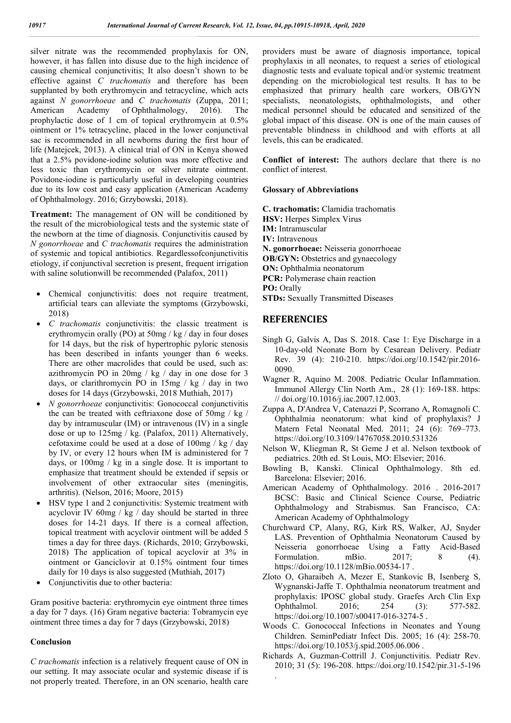silver nitrate was the recommended prophylaxis for ON, however, it has fallen into disuse due to the high incidence of causing chemical conjunctivitis; It also doesn't shown to be effective against *C trachomatis* and therefore has been supplanted by both erythromycin and tetracycline, which acts against *N gonorrhoeae* and *C trachomatis* (Zuppa, 2011; American Academy of Ophthalmology, 2016). The prophylactic dose of 1 cm of topical erythromycin at 0.5% ointment or 1% tetracycline, placed in the lower conjunctival sac is recommended in all newborns during the first hour of life (Matejcek, 2013). A clinical trial of ON in Kenya showed that a 2.5% povidone-iodine solution was more effective and less toxic than erythromycin or silver nitrate ointment. Povidone-iodine is particularly useful in developing countries due to its low cost and easy application (American Academy of Ophthalmology. 2016; Grzybowski, 2018).

**Treatment:** The management of ON will be conditioned by the result of the microbiological tests and the systemic state of the newborn at the time of diagnosis. Conjunctivitis caused by *N gonorrhoeae* and *C trachomatis* requires the administration of systemic and topical antibiotics. Regardlessofconjunctivitis etiology, if conjunctival secretion is present, frequent irrigation with saline solutionwill be recommended (Palafox, 2011)

- Chemical conjunctivitis: does not require treatment, artificial tears can alleviate the symptoms (Grzybowski, 2018)
- *C trachomatis* conjunctivitis: the classic treatment is erythromycin orally (PO) at 50mg / kg / day in four doses for 14 days, but the risk of hypertrophic pyloric stenosis has been described in infants younger than 6 weeks. There are other macrolides that could be used, such as: azithromycin PO in  $20mg / kg / day$  in one dose for 3 days, or clarithromycin PO in 15mg / kg / day in two doses for 14 days (Grzybowski, 2018 Muthiah, 2017)
- *N gonorrhoeae* conjunctivitis: Gonococcal conjunctivitis the can be treated with ceftriaxone dose of 50mg / kg / day by intramuscular (IM) or intravenous (IV) in a single dose or up to 125mg / kg. (Palafox, 2011) Alternatively, cefotaxime could be used at a dose of 100mg / kg / day by IV, or every 12 hours when IM is administered for 7 days, or 100mg / kg in a single dose. It is important to emphasize that treatment should be extended if sepsis or involvement of other extraocular sites (meningitis, arthritis). (Nelson, 2016; Moore, 2015)
- HSV type 1 and 2 conjunctivitis: Systemic treatment with acyclovir IV  $60mg / kg / day$  should be started in three doses for 14-21 days. If there is a corneal affection, topical treatment with acyclovir ointment will be added 5 times a day for three days. (Richards, 2010; Grzybowski, 2018) The application of topical acyclovir at 3% in ointment or Ganciclovir at 0.15% ointment four times daily for 10 days is also suggested (Muthiah, 2017)
- Conjunctivitis due to other bacteria:

Gram positive bacteria: erythromycin eye ointment three times a day for 7 days. (16) Gram negative bacteria: Tobramycin eye ointment three times a day for 7 days (Grzybowski, 2018)

#### **Conclusion**

*C trachomatis* infection is a relatively frequent cause of ON in our setting. It may associate ocular and systemic disease if is not properly treated. Therefore, in an ON scenario, health care providers must be aware of diagnosis importance, topical prophylaxis in all neonates, to request a series of etiological diagnostic tests and evaluate topical and/or systemic treatment depending on the microbiological test results. It has to be emphasized that primary health care workers, OB/GYN specialists, neonatologists, ophthalmologists, and other medical personnel should be educated and sensitized of the global impact of this disease. ON is one of the main causes of preventable blindness in childhood and with efforts at all levels, this can be eradicated.

**Conflict of interest:** The authors declare that there is no conflict of interest.

#### **Glossary of Abbreviations**

**C. trachomatis:** Clamidia trachomatis **HSV:** Herpes Simplex Virus **IM:** Intramuscular **IV:** Intravenous **N. gonorrhoeae:** Neisseria gonorrhoeae **OB/GYN:** Obstetrics and gynaecology **ON:** Ophthalmia neonatorum **PCR:** Polymerase chain reaction **PO:** Orally **STDs:** Sexually Transmitted Diseases

### **REFERENCIES**

.

- Singh G, Galvis A, Das S. 2018. Case 1: Eye Discharge in a 10-day-old Neonate Born by Cesarean Delivery. Pediatr Rev. 39 (4): 210-210. https://doi.org/10.1542/pir.2016- 0090.
- Wagner R, Aquino M. 2008. Pediatric Ocular Inflammation. Immunol Allergy Clin North Am., 28 (1): 169-188. https: // doi.org/10.1016/j.iac.2007.12.003.
- Zuppa A, D'Andrea V, Catenazzi P, Scorrano A, Romagnoli C. Ophthalmia neonatorum: what kind of prophylaxis? J Matern Fetal Neonatal Med. 2011; 24 (6): 769-773. https://doi.org/10.3109/14767058.2010.531326
- Nelson W, Kliegman R, St Geme J et al. Nelson textbook of pediatrics. 20th ed. St Louis, MO: Elsevier; 2016.
- Bowling B, Kanski. Clinical Ophthalmology. 8th ed. Barcelona: Elsevier; 2016.
- American Academy of Ophthalmology. 2016 . 2016-2017 BCSC: Basic and Clinical Science Course, Pediatric Ophthalmology and Strabismus. San Francisco, CA: American Academy of Ophthalmology
- Churchward CP, Alany, RG, Kirk RS, Walker, AJ, Snyder LAS. Prevention of Ophthalmia Neonatorum Caused by Neisseria gonorrhoeae Using a Fatty Acid-Based Formulation. mBio. 2017; 8 (4). https://doi.org/10.1128/mBio.00534-17 .
- Zloto O, Gharaibeh A, Mezer E, Stankovic B, Isenberg S, Wygnanski-Jaffe T. Ophthalmia neonatorum treatment and prophylaxis: IPOSC global study. Graefes Arch Clin Exp Ophthalmol. 2016; 254 (3): 577-582. https://doi.org/10.1007/s00417-016-3274-5 .
- Woods C. Gonococcal Infections in Neonates and Young Children. SeminPediatr Infect Dis. 2005; 16 (4): 258-70. https://doi.org/10.1053/j.spid.2005.06.006.
- Richards A, Guzman-Cottrill J. Conjunctivitis. Pediatr Rev. 2010; 31 (5): 196-208. https://doi.org/10.1542/pir.31-5-196